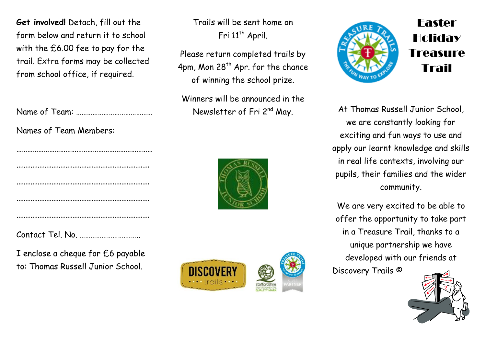**Get involved!** Detach, fill out the form below and return it to school with the £6.00 fee to pay for the trail. Extra forms may be collected from school office, if required.

Name of Team: ……………………………………

Names of Team Members:

Contact Tel. No. ……………………….…..

I enclose a cheque for £6 payable to: Thomas Russell Junior School.

Trails will be sent home on Fri 11<sup>th</sup> April.

Please return completed trails by 4pm, Mon  $28<sup>th</sup>$  Apr. for the chance of winning the school prize.

Winners will be announced in the Newsletter of Fri 2<sup>nd</sup> May.







Easter Holiday Treasure Trail

At Thomas Russell Junior School, we are constantly looking for exciting and fun ways to use and apply our learnt knowledge and skills in real life contexts, involving our pupils, their families and the wider community.

We are very excited to be able to offer the opportunity to take part in a Treasure Trail, thanks to a unique partnership we have developed with our friends at

Discovery Trails ©